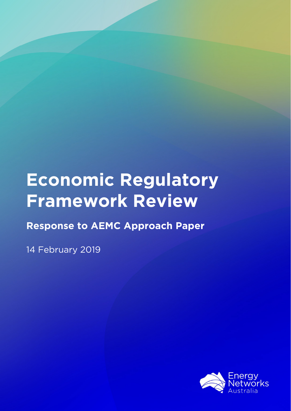# **Economic Regulatory Framework Review**

**Response to AEMC Approach Paper** 

14 February 2019

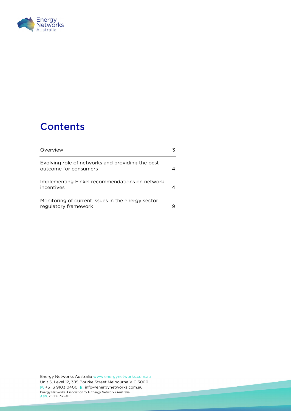

# **Contents**

| Overview                                                                  |  |
|---------------------------------------------------------------------------|--|
| Evolving role of networks and providing the best<br>outcome for consumers |  |
| Implementing Finkel recommendations on network<br>incentives              |  |
| Monitoring of current issues in the energy sector<br>regulatory framework |  |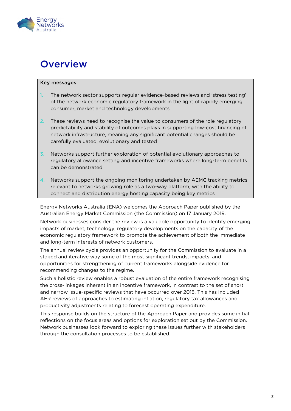

## **Overview**

#### Key messages

- 1. The network sector supports regular evidence-based reviews and 'stress testing' of the network economic regulatory framework in the light of rapidly emerging consumer, market and technology developments
- 2. These reviews need to recognise the value to consumers of the role regulatory predictability and stability of outcomes plays in supporting low-cost financing of network infrastructure, meaning any significant potential changes should be carefully evaluated, evolutionary and tested
- 3. Networks support further exploration of potential evolutionary approaches to regulatory allowance setting and incentive frameworks where long-term benefits can be demonstrated
- 4. Networks support the ongoing monitoring undertaken by AEMC tracking metrics relevant to networks growing role as a two-way platform, with the ability to connect and distribution energy hosting capacity being key metrics

Energy Networks Australia (ENA) welcomes the Approach Paper published by the Australian Energy Market Commission (the Commission) on 17 January 2019.

Network businesses consider the review is a valuable opportunity to identify emerging impacts of market, technology, regulatory developments on the capacity of the economic regulatory framework to promote the achievement of both the immediate and long-term interests of network customers.

The annual review cycle provides an opportunity for the Commission to evaluate in a staged and iterative way some of the most significant trends, impacts, and opportunities for strengthening of current frameworks alongside evidence for recommending changes to the regime.

Such a holistic review enables a robust evaluation of the entire framework recognising the cross-linkages inherent in an incentive framework, in contrast to the set of short and narrow issue-specific reviews that have occurred over 2018. This has included AER reviews of approaches to estimating inflation, regulatory tax allowances and productivity adjustments relating to forecast operating expenditure.

This response builds on the structure of the Approach Paper and provides some initial reflections on the focus areas and options for exploration set out by the Commission. Network businesses look forward to exploring these issues further with stakeholders through the consultation processes to be established.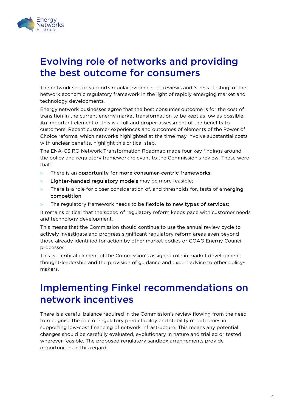

# Evolving role of networks and providing the best outcome for consumers

The network sector supports regular evidence-led reviews and 'stress -testing' of the network economic regulatory framework in the light of rapidly emerging market and technology developments.

Energy network businesses agree that the best consumer outcome is for the cost of transition in the current energy market transformation to be kept as low as possible. An important element of this is a full and proper assessment of the benefits to customers. Recent customer experiences and outcomes of elements of the Power of Choice reforms, which networks highlighted at the time may involve substantial costs with unclear benefits, highlight this critical step.

The ENA-CSIRO Network Transformation Roadmap made four key findings around the policy and regulatory framework relevant to the Commission's review. These were that:

- » There is an opportunity for more consumer-centric frameworks;
- » Lighter-handed regulatory models may be more feasible;
- » There is a role for closer consideration of, and thresholds for, tests of emerging competition
- » The regulatory framework needs to be flexible to new types of services;

It remains critical that the speed of regulatory reform keeps pace with customer needs and technology development.

This means that the Commission should continue to use the annual review cycle to actively investigate and progress significant regulatory reform areas even beyond those already identified for action by other market bodies or COAG Energy Council processes.

This is a critical element of the Commission's assigned role in market development, thought-leadership and the provision of guidance and expert advice to other policymakers.

## Implementing Finkel recommendations on network incentives

There is a careful balance required in the Commission's review flowing from the need to recognise the role of regulatory predictability and stability of outcomes in supporting low-cost financing of network infrastructure. This means any potential changes should be carefully evaluated, evolutionary in nature and trialled or tested wherever feasible. The proposed regulatory sandbox arrangements provide opportunities in this regard.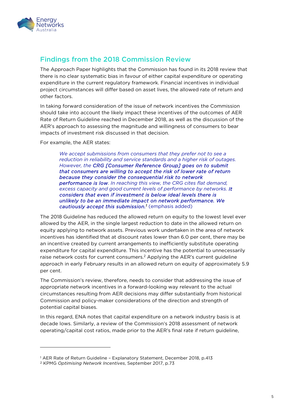

 $\overline{a}$ 

## Findings from the 2018 Commission Review

The Approach Paper highlights that the Commission has found in its 2018 review that there is no clear systematic bias in favour of either capital expenditure or operating expenditure in the current regulatory framework. Financial incentives in individual project circumstances will differ based on asset lives, the allowed rate of return and other factors.

In taking forward consideration of the issue of network incentives the Commission should take into account the likely impact these incentives of the outcomes of AER Rate of Return Guideline reached in December 2018, as well as the discussion of the AER's approach to assessing the magnitude and willingness of consumers to bear impacts of investment risk discussed in that decision.

For example, the AER states:

*We accept submissions from consumers that they prefer not to see a reduction in reliability and service standards and a higher risk of outages. However, the CRG [Consumer Reference Group] goes on to submit that consumers are willing to accept the risk of lower rate of return because they consider the consequential risk to network performance is low. In reaching this view, the CRG cites flat demand, excess capacity and good current levels of performance by networks. It considers that even if investment is below ideal levels there is unlikely to be an immediate impact on network performance. We*  cautiously accept this submission.<sup>1</sup> (emphasis added)

The 2018 Guideline has reduced the allowed return on equity to the lowest level ever allowed by the AER, in the single largest reduction to date in the allowed return on equity applying to network assets. Previous work undertaken in the area of network incentives has identified that at discount rates lower than 6.0 per cent, there may be an incentive created by current arrangements to inefficiently substitute operating expenditure for capital expenditure. This incentive has the potential to unnecessarily raise network costs for current consumers.2 Applying the AER's current guideline approach in early February results in an allowed return on equity of approximately 5.9 per cent.

The Commission's review, therefore, needs to consider that addressing the issue of appropriate network incentives in a forward-looking way relevant to the actual circumstances resulting from AER decisions may differ substantially from historical Commission and policy-maker considerations of the direction and strength of potential capital biases.

In this regard, ENA notes that capital expenditure on a network industry basis is at decade lows. Similarly, a review of the Commission's 2018 assessment of network operating/capital cost ratios, made prior to the AER's final rate if return guideline,

<sup>&</sup>lt;sup>1</sup> AER Rate of Return Guideline – Explanatory Statement, December 2018, p.413<br><sup>2</sup> KPMG *Optimising Network Incentives*, September 2017, p.73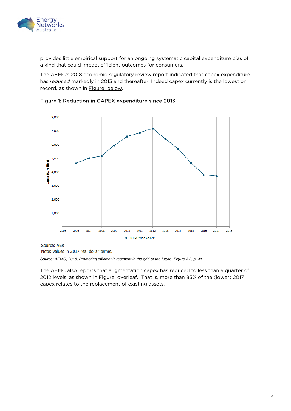

provides little empirical support for an ongoing systematic capital expenditure bias of a kind that could impact efficient outcomes for consumers.

The AEMC's 2018 economic regulatory review report indicated that capex expenditure has *reduced* markedly in 2013 and thereafter. Indeed capex currently is the lowest on record, as shown in **Figure** below.



#### Figure 1: Reduction in CAPEX expenditure since 2013

Note: values in 2017 real dollar terms.

*Source: AEMC, 2018, Promoting efficient investment in the grid of the future, Figure 3.3, p. 41.* 

The AEMC also reports that augmentation capex has reduced to less than a quarter of 2012 levels, as shown in Figure overleaf. That is, more than 85% of the (lower) 2017 capex relates to the replacement of existing assets.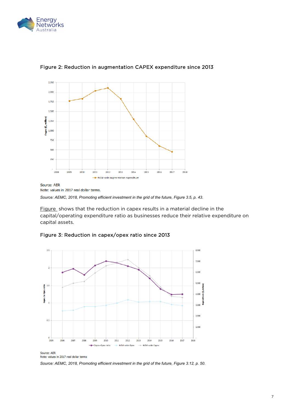



## Figure 2: Reduction in augmentation CAPEX expenditure since 2013

*Source: AEMC, 2018, Promoting efficient investment in the grid of the future, Figure 3.5, p. 43.* 

Figure shows that the reduction in capex results in a material decline in the capital/operating expenditure ratio as businesses reduce their relative expenditure on capital assets.



### Figure 3: Reduction in capex/opex ratio since 2013

Source: AER Note: values in 2017 real dollar terms

*Source: AEMC, 2018, Promoting efficient investment in the grid of the future, Figure 3.12, p. 50.*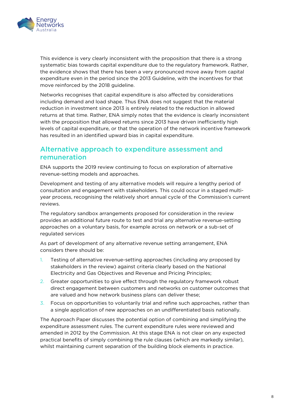

This evidence is very clearly inconsistent with the proposition that there is a strong systematic bias towards capital expenditure due to the regulatory framework. Rather, the evidence shows that there has been a very pronounced move away from capital expenditure even in the period since the 2013 Guideline, with the incentives for that move reinforced by the 2018 guideline.

Networks recognises that capital expenditure is also affected by considerations including demand and load shape. Thus ENA does not suggest that the material reduction in investment since 2013 is entirely related to the reduction in allowed returns at that time. Rather, ENA simply notes that the evidence is clearly inconsistent with the proposition that allowed returns since 2013 have driven inefficiently high levels of capital expenditure, or that the operation of the network incentive framework has resulted in an identified upward bias in capital expenditure.

## Alternative approach to expenditure assessment and remuneration

ENA supports the 2019 review continuing to focus on exploration of alternative revenue-setting models and approaches.

Development and testing of any alternative models will require a lengthy period of consultation and engagement with stakeholders. This could occur in a staged multiyear process, recognising the relatively short annual cycle of the Commission's current reviews.

The regulatory sandbox arrangements proposed for consideration in the review provides an additional future route to test and trial any alternative revenue-setting approaches on a voluntary basis, for example across on network or a sub-set of regulated services

As part of development of any alternative revenue setting arrangement, ENA considers there should be:

- 1. Testing of alternative revenue-setting approaches (including any proposed by stakeholders in the review) against criteria clearly based on the National Electricity and Gas Objectives and Revenue and Pricing Principles;
- 2. Greater opportunities to give effect through the regulatory framework robust direct engagement between customers and networks on customer outcomes that are valued and how network business plans can deliver these;
- 3. Focus on opportunities to voluntarily trial and refine such approaches, rather than a single application of new approaches on an undifferentiated basis nationally.

The Approach Paper discusses the potential option of combining and simplifying the expenditure assessment rules. The current expenditure rules were reviewed and amended in 2012 by the Commission. At this stage ENA is not clear on any expected practical benefits of simply combining the rule clauses (which are markedly similar), whilst maintaining current separation of the building block elements in practice.